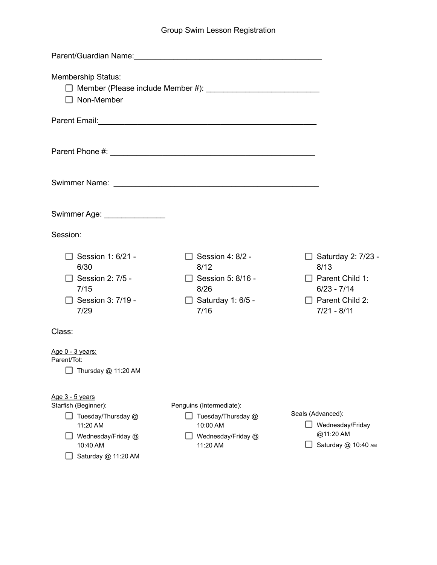## Group Swim Lesson Registration

| Parent/Guardian Name:<br><u>Land Contract Contract Contract Contract Contract Contract Contract Contract Contract Contract Contract Contract Contract Contract Contract Contract Contract Contract Contract Contract Contract Cont</u> |                                                                                              |                                                                                                                    |
|----------------------------------------------------------------------------------------------------------------------------------------------------------------------------------------------------------------------------------------|----------------------------------------------------------------------------------------------|--------------------------------------------------------------------------------------------------------------------|
| <b>Membership Status:</b><br>$\Box$ Non-Member                                                                                                                                                                                         |                                                                                              |                                                                                                                    |
|                                                                                                                                                                                                                                        |                                                                                              |                                                                                                                    |
|                                                                                                                                                                                                                                        |                                                                                              |                                                                                                                    |
|                                                                                                                                                                                                                                        |                                                                                              |                                                                                                                    |
| Swimmer Age: _______________                                                                                                                                                                                                           |                                                                                              |                                                                                                                    |
| Session:                                                                                                                                                                                                                               |                                                                                              |                                                                                                                    |
| Session 1: 6/21 -<br>6/30<br>$\Box$ Session 2: 7/5 -<br>7/15<br>Session 3: 7/19 -<br>7/29                                                                                                                                              | Session 4: 8/2 -<br>8/12<br>$\Box$ Session 5: 8/16 -<br>8/26<br>□ Saturday 1: 6/5 -<br>7/16  | □ Saturday 2: 7/23 -<br>8/13<br>$\Box$ Parent Child 1:<br>$6/23 - 7/14$<br>$\Box$ Parent Child 2:<br>$7/21 - 8/11$ |
| Class:                                                                                                                                                                                                                                 |                                                                                              |                                                                                                                    |
| Age 0 - 3 years:<br>Parent/Tot:<br>$\Box$ Thursday @ 11:20 AM                                                                                                                                                                          |                                                                                              |                                                                                                                    |
| Age 3 - 5 years<br>Starfish (Beginner):<br>Tuesday/Thursday @<br>11:20 AM<br>Wednesday/Friday @<br>10:40 AM<br>Saturday @ 11:20 AM                                                                                                     | Penguins (Intermediate):<br>Tuesday/Thursday @<br>10:00 AM<br>Wednesday/Friday @<br>11:20 AM | Seals (Advanced):<br>Wednesday/Friday<br>@11:20 AM<br>Saturday @ 10:40 AM                                          |